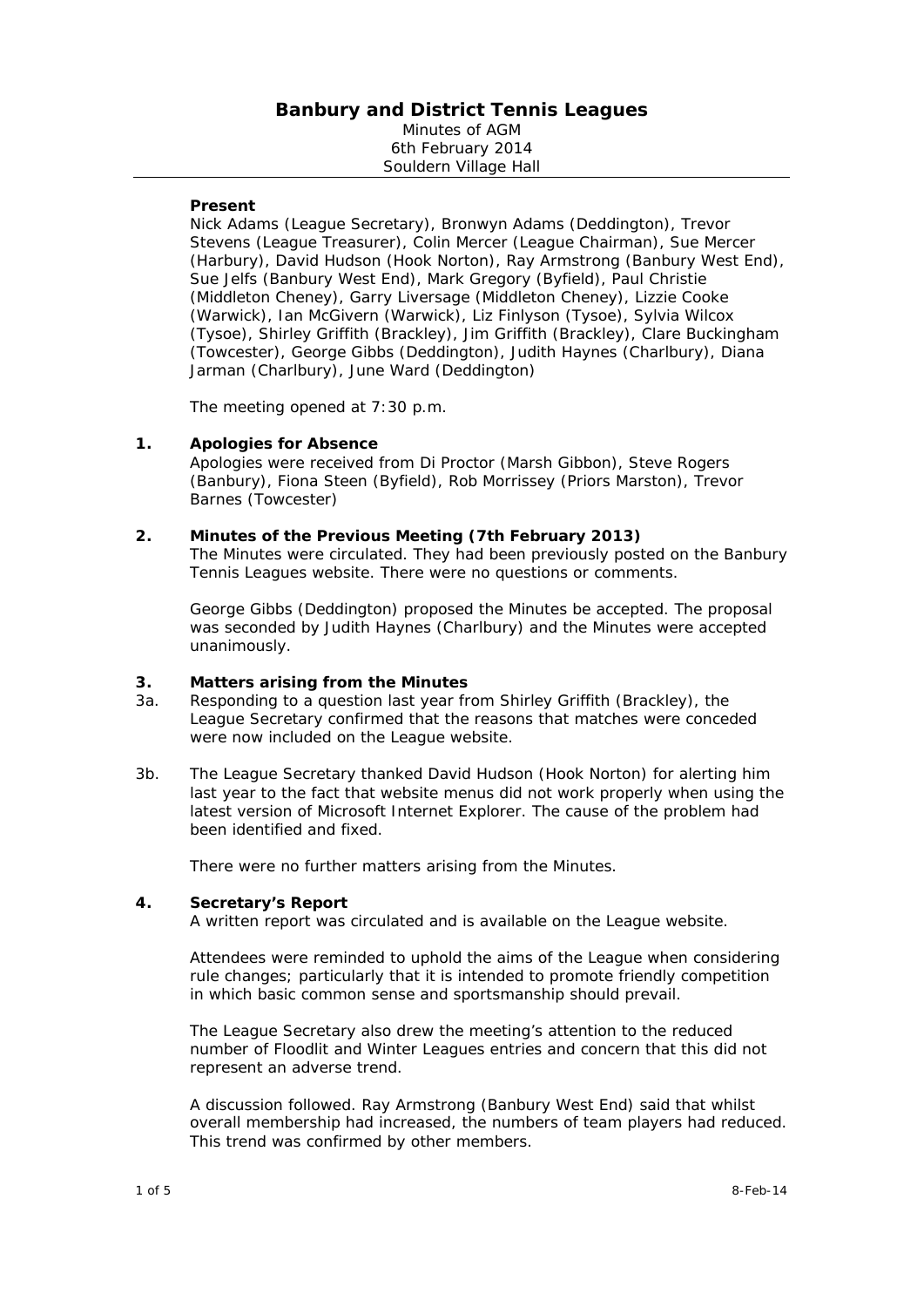## **Banbury and District Tennis Leagues**  Minutes of AGM 6th February 2014 Souldern Village Hall

### **Present**

Nick Adams (League Secretary), Bronwyn Adams (Deddington), Trevor Stevens (League Treasurer), Colin Mercer (League Chairman), Sue Mercer (Harbury), David Hudson (Hook Norton), Ray Armstrong (Banbury West End), Sue Jelfs (Banbury West End), Mark Gregory (Byfield), Paul Christie (Middleton Cheney), Garry Liversage (Middleton Cheney), Lizzie Cooke (Warwick), Ian McGivern (Warwick), Liz Finlyson (Tysoe), Sylvia Wilcox (Tysoe), Shirley Griffith (Brackley), Jim Griffith (Brackley), Clare Buckingham (Towcester), George Gibbs (Deddington), Judith Haynes (Charlbury), Diana Jarman (Charlbury), June Ward (Deddington)

The meeting opened at 7:30 p.m.

### **1. Apologies for Absence**

Apologies were received from Di Proctor (Marsh Gibbon), Steve Rogers (Banbury), Fiona Steen (Byfield), Rob Morrissey (Priors Marston), Trevor Barnes (Towcester)

### **2. Minutes of the Previous Meeting (7th February 2013)**

The Minutes were circulated. They had been previously posted on the Banbury Tennis Leagues website. There were no questions or comments.

George Gibbs (Deddington) proposed the Minutes be accepted. The proposal was seconded by Judith Haynes (Charlbury) and the Minutes were accepted unanimously.

### **3. Matters arising from the Minutes**

- 3a. Responding to a question last year from Shirley Griffith (Brackley), the League Secretary confirmed that the reasons that matches were conceded were now included on the League website.
- 3b. The League Secretary thanked David Hudson (Hook Norton) for alerting him last year to the fact that website menus did not work properly when using the latest version of Microsoft Internet Explorer. The cause of the problem had been identified and fixed.

There were no further matters arising from the Minutes.

### **4. Secretary's Report**

A written report was circulated and is available on the League website.

Attendees were reminded to uphold the aims of the League when considering rule changes; particularly that it is intended to promote friendly competition in which basic common sense and sportsmanship should prevail.

The League Secretary also drew the meeting's attention to the reduced number of Floodlit and Winter Leagues entries and concern that this did not represent an adverse trend.

A discussion followed. Ray Armstrong (Banbury West End) said that whilst overall membership had increased, the numbers of team players had reduced. This trend was confirmed by other members.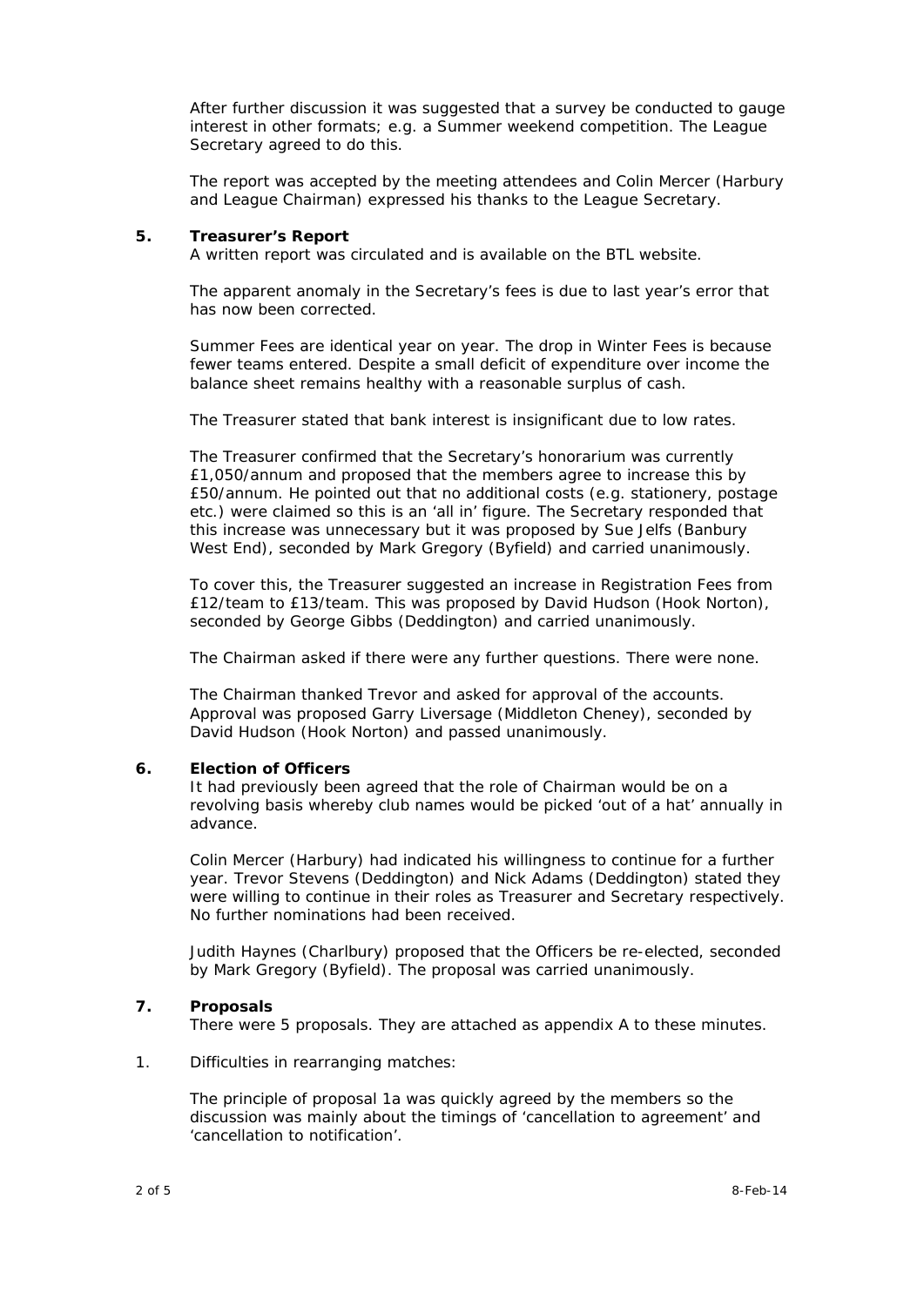After further discussion it was suggested that a survey be conducted to gauge interest in other formats; e.g. a Summer weekend competition. The League Secretary agreed to do this.

The report was accepted by the meeting attendees and Colin Mercer (Harbury and League Chairman) expressed his thanks to the League Secretary.

### **5. Treasurer's Report**

A written report was circulated and is available on the BTL website.

The apparent anomaly in the Secretary's fees is due to last year's error that has now been corrected.

Summer Fees are identical year on year. The drop in Winter Fees is because fewer teams entered. Despite a small deficit of expenditure over income the balance sheet remains healthy with a reasonable surplus of cash.

The Treasurer stated that bank interest is insignificant due to low rates.

The Treasurer confirmed that the Secretary's honorarium was currently £1,050/annum and proposed that the members agree to increase this by £50/annum. He pointed out that no additional costs (e.g. stationery, postage etc.) were claimed so this is an 'all in' figure. The Secretary responded that this increase was unnecessary but it was proposed by Sue Jelfs (Banbury West End), seconded by Mark Gregory (Byfield) and carried unanimously.

To cover this, the Treasurer suggested an increase in Registration Fees from £12/team to £13/team. This was proposed by David Hudson (Hook Norton), seconded by George Gibbs (Deddington) and carried unanimously.

The Chairman asked if there were any further questions. There were none.

The Chairman thanked Trevor and asked for approval of the accounts. Approval was proposed Garry Liversage (Middleton Cheney), seconded by David Hudson (Hook Norton) and passed unanimously.

### **6. Election of Officers**

It had previously been agreed that the role of Chairman would be on a revolving basis whereby club names would be picked 'out of a hat' annually in advance.

Colin Mercer (Harbury) had indicated his willingness to continue for a further year. Trevor Stevens (Deddington) and Nick Adams (Deddington) stated they were willing to continue in their roles as Treasurer and Secretary respectively. No further nominations had been received.

Judith Haynes (Charlbury) proposed that the Officers be re-elected, seconded by Mark Gregory (Byfield). The proposal was carried unanimously.

### **7. Proposals**

There were 5 proposals. They are attached as appendix A to these minutes.

### 1. Difficulties in rearranging matches:

The principle of proposal 1a was quickly agreed by the members so the discussion was mainly about the timings of 'cancellation to agreement' and 'cancellation to notification'.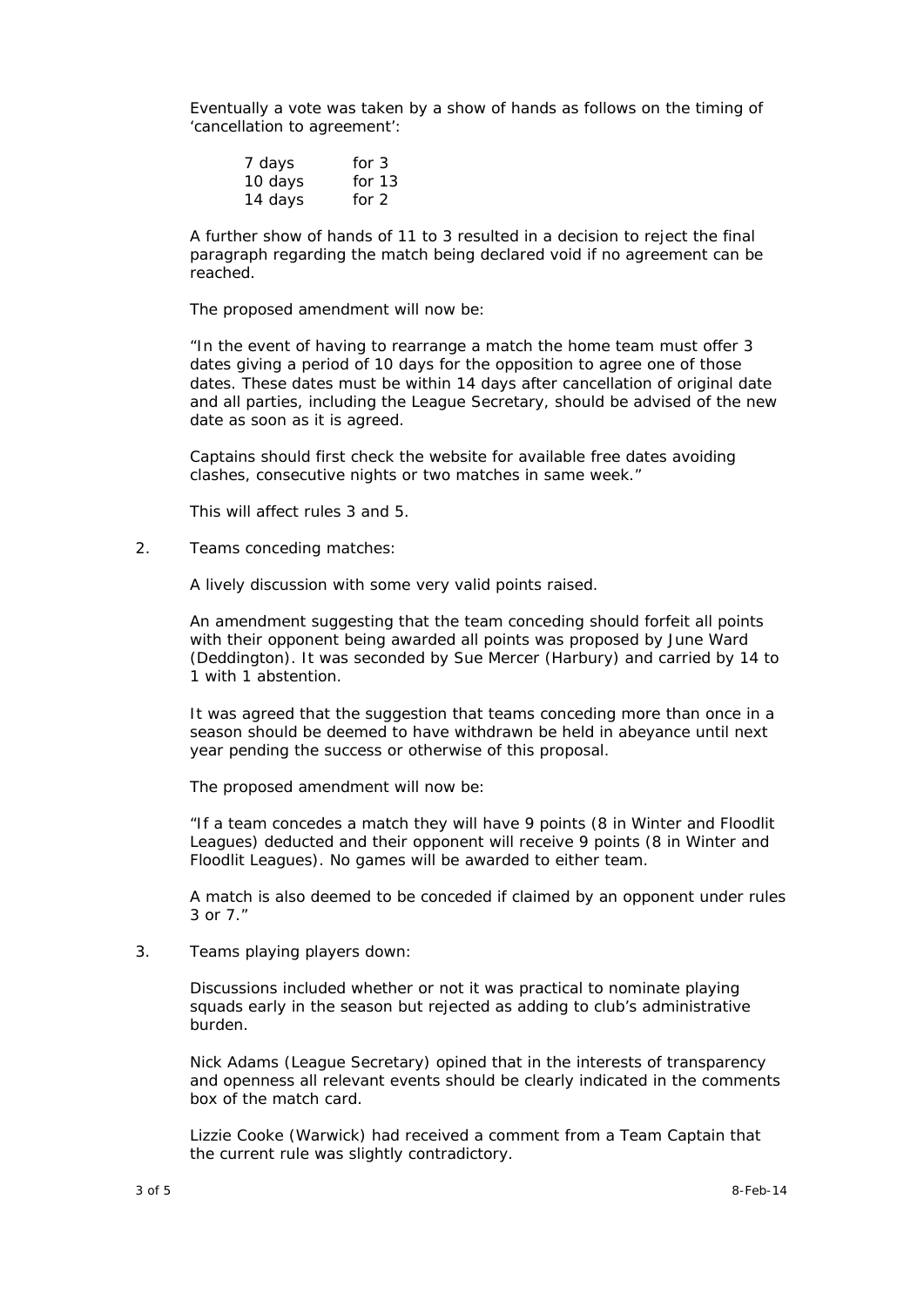Eventually a vote was taken by a show of hands as follows on the timing of 'cancellation to agreement':

| 7 days  | for $3$  |
|---------|----------|
| 10 days | for $13$ |
| 14 days | for $2$  |

A further show of hands of 11 to 3 resulted in a decision to reject the final paragraph regarding the match being declared void if no agreement can be reached.

The proposed amendment will now be:

*"In the event of having to rearrange a match the home team must offer 3 dates giving a period of 10 days for the opposition to agree one of those dates. These dates must be within 14 days after cancellation of original date and all parties, including the League Secretary, should be advised of the new date as soon as it is agreed.* 

*Captains should first check the website for available free dates avoiding clashes, consecutive nights or two matches in same week."* 

This will affect rules 3 and 5.

2. Teams conceding matches:

A lively discussion with some very valid points raised.

An amendment suggesting that the team conceding should forfeit all points with their opponent being awarded all points was proposed by June Ward (Deddington). It was seconded by Sue Mercer (Harbury) and carried by 14 to 1 with 1 abstention.

It was agreed that the suggestion that teams conceding more than once in a season should be deemed to have withdrawn be held in abeyance until next year pending the success or otherwise of this proposal.

The proposed amendment will now be:

*"If a team concedes a match they will have 9 points (8 in Winter and Floodlit Leagues) deducted and their opponent will receive 9 points (8 in Winter and Floodlit Leagues). No games will be awarded to either team.* 

*A match is also deemed to be conceded if claimed by an opponent under rules 3 or 7."* 

3. Teams playing players down:

Discussions included whether or not it was practical to nominate playing squads early in the season but rejected as adding to club's administrative burden.

Nick Adams (League Secretary) opined that in the interests of transparency and openness all relevant events should be clearly indicated in the comments box of the match card.

Lizzie Cooke (Warwick) had received a comment from a Team Captain that the current rule was slightly contradictory.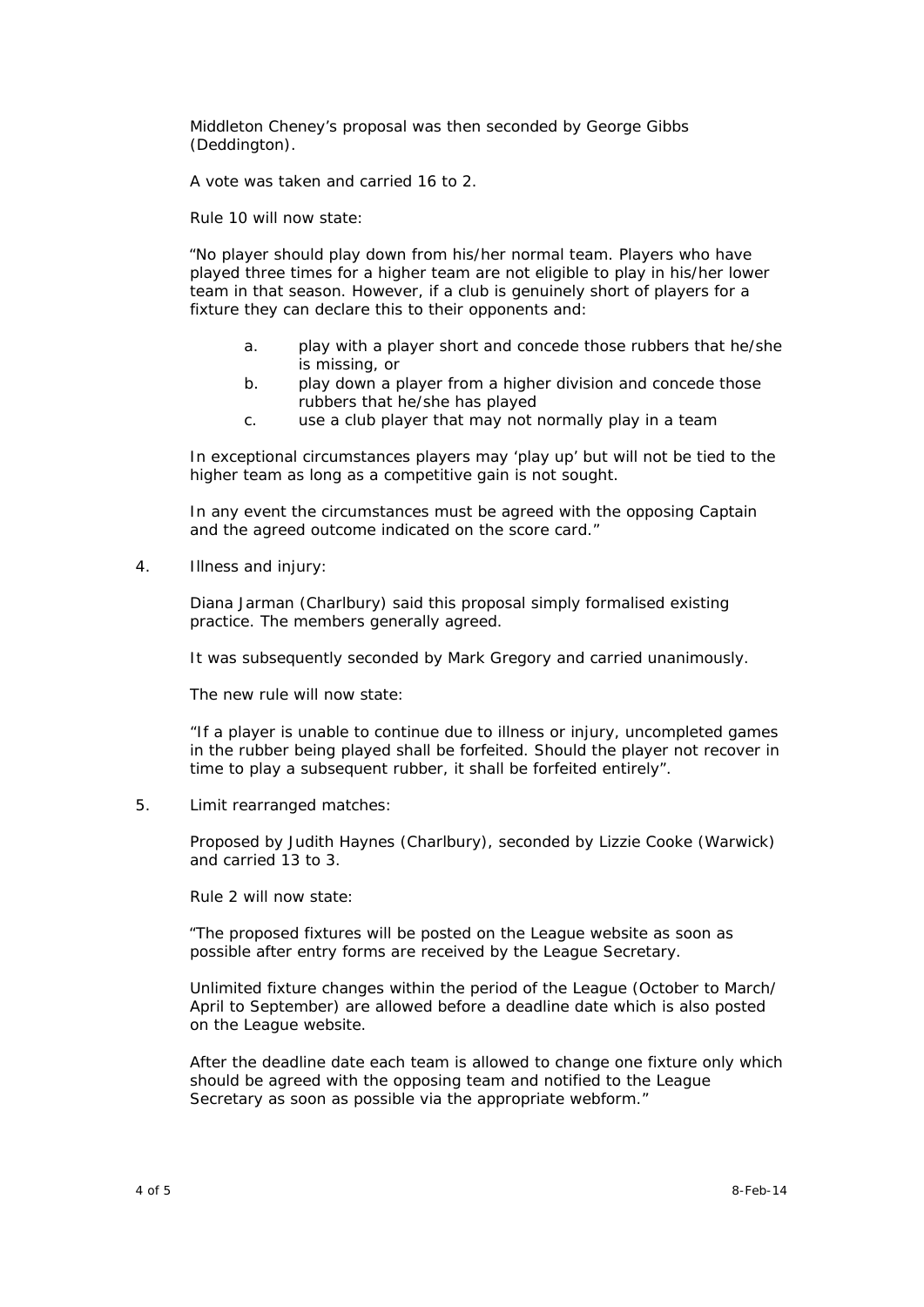Middleton Cheney's proposal was then seconded by George Gibbs (Deddington).

A vote was taken and carried 16 to 2.

Rule 10 will now state:

*"No player should play down from his/her normal team. Players who have played three times for a higher team are not eligible to play in his/her lower team in that season. However, if a club is genuinely short of players for a fixture they can declare this to their opponents and:* 

- *a. play with a player short and concede those rubbers that he/she is missing, or*
- *b. play down a player from a higher division and concede those rubbers that he/she has played*
- *c. use a club player that may not normally play in a team*

*In exceptional circumstances players may 'play up' but will not be tied to the higher team as long as a competitive gain is not sought.* 

*In any event the circumstances must be agreed with the opposing Captain and the agreed outcome indicated on the score card."* 

4. Illness and injury:

Diana Jarman (Charlbury) said this proposal simply formalised existing practice. The members generally agreed.

It was subsequently seconded by Mark Gregory and carried unanimously.

The new rule will now state:

*"If a player is unable to continue due to illness or injury, uncompleted games in the rubber being played shall be forfeited. Should the player not recover in time to play a subsequent rubber, it shall be forfeited entirely".* 

5. Limit rearranged matches:

Proposed by Judith Haynes (Charlbury), seconded by Lizzie Cooke (Warwick) and carried 13 to 3.

Rule 2 will now state:

*"The proposed fixtures will be posted on the League website as soon as possible after entry forms are received by the League Secretary.* 

*Unlimited fixture changes within the period of the League (October to March/ April to September) are allowed before a deadline date which is also posted on the League website.* 

*After the deadline date each team is allowed to change one fixture only which should be agreed with the opposing team and notified to the League Secretary as soon as possible via the appropriate webform."*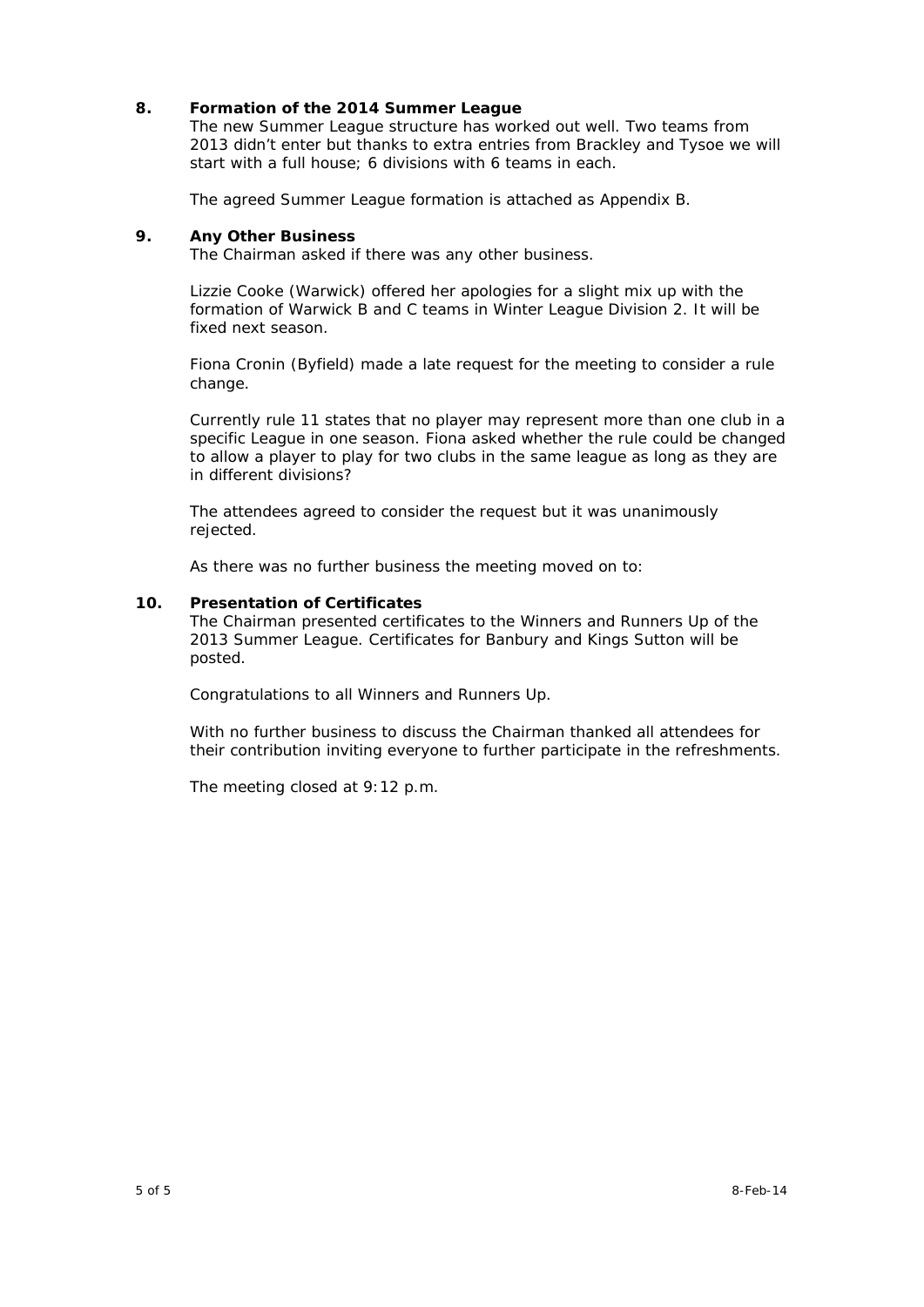## **8. Formation of the 2014 Summer League**

The new Summer League structure has worked out well. Two teams from 2013 didn't enter but thanks to extra entries from Brackley and Tysoe we will start with a full house; 6 divisions with 6 teams in each.

The agreed Summer League formation is attached as Appendix B.

### **9. Any Other Business**

The Chairman asked if there was any other business.

Lizzie Cooke (Warwick) offered her apologies for a slight mix up with the formation of Warwick B and C teams in Winter League Division 2. It will be fixed next season.

Fiona Cronin (Byfield) made a late request for the meeting to consider a rule change.

Currently rule 11 states that no player may represent more than one club in a specific League in one season. Fiona asked whether the rule could be changed to allow a player to play for two clubs in the same league as long as they are in different divisions?

The attendees agreed to consider the request but it was unanimously rejected.

As there was no further business the meeting moved on to:

## **10. Presentation of Certificates**

The Chairman presented certificates to the Winners and Runners Up of the 2013 Summer League. Certificates for Banbury and Kings Sutton will be posted.

Congratulations to all Winners and Runners Up.

With no further business to discuss the Chairman thanked all attendees for their contribution inviting everyone to further participate in the refreshments.

The meeting closed at 9:12 p.m.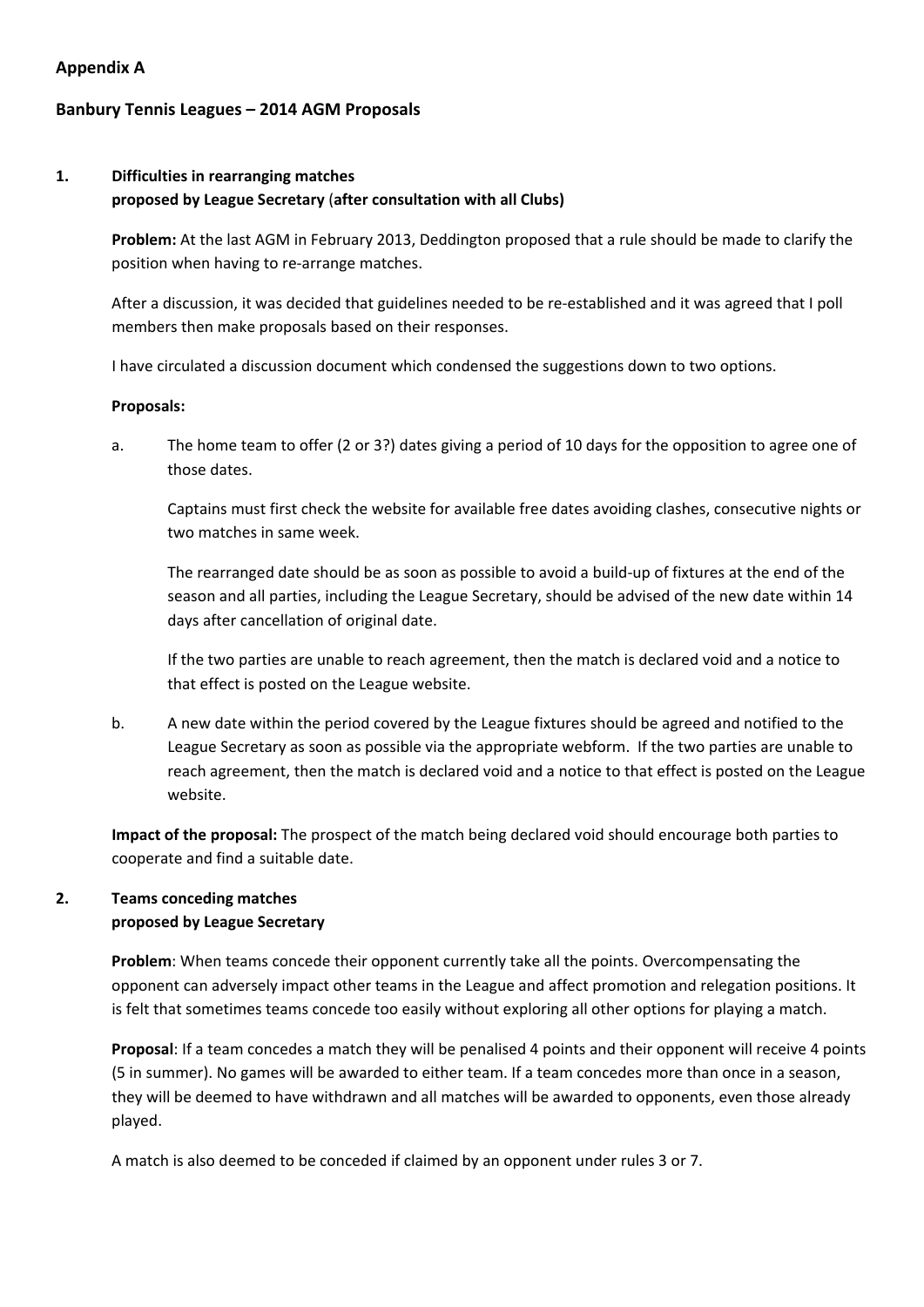## **Appendix A**

# **Banbury Tennis Leagues – 2014 AGM Proposals**

# **1. Difficulties in rearranging matches proposed by League Secretary** (**after consultation with all Clubs)**

**Problem:** At the last AGM in February 2013, Deddington proposed that a rule should be made to clarify the position when having to re‐arrange matches.

After a discussion, it was decided that guidelines needed to be re-established and it was agreed that I poll members then make proposals based on their responses.

I have circulated a discussion document which condensed the suggestions down to two options.

## **Proposals:**

a. The home team to offer (2 or 3?) dates giving a period of 10 days for the opposition to agree one of those dates.

Captains must first check the website for available free dates avoiding clashes, consecutive nights or two matches in same week.

The rearranged date should be as soon as possible to avoid a build-up of fixtures at the end of the season and all parties, including the League Secretary, should be advised of the new date within 14 days after cancellation of original date.

If the two parties are unable to reach agreement, then the match is declared void and a notice to that effect is posted on the League website.

b. A new date within the period covered by the League fixtures should be agreed and notified to the League Secretary as soon as possible via the appropriate webform. If the two parties are unable to reach agreement, then the match is declared void and a notice to that effect is posted on the League website.

**Impact of the proposal:** The prospect of the match being declared void should encourage both parties to cooperate and find a suitable date.

# **2. Teams conceding matches proposed by League Secretary**

**Problem**: When teams concede their opponent currently take all the points. Overcompensating the opponent can adversely impact other teams in the League and affect promotion and relegation positions. It is felt that sometimes teams concede too easily without exploring all other options for playing a match.

**Proposal**: If a team concedes a match they will be penalised 4 points and their opponent will receive 4 points (5 in summer). No games will be awarded to either team. If a team concedes more than once in a season, they will be deemed to have withdrawn and all matches will be awarded to opponents, even those already played.

A match is also deemed to be conceded if claimed by an opponent under rules 3 or 7.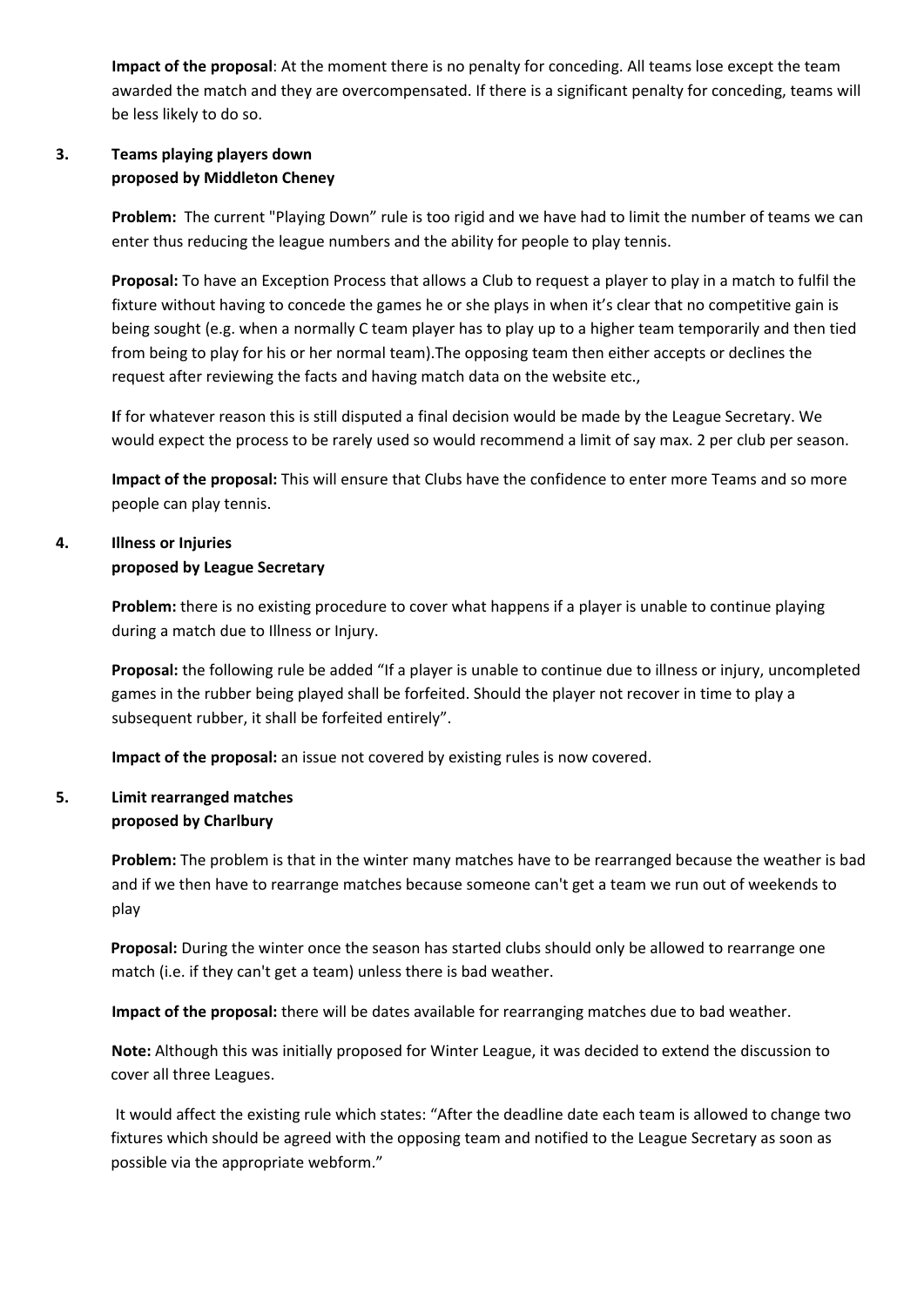**Impact of the proposal**: At the moment there is no penalty for conceding. All teams lose except the team awarded the match and they are overcompensated. If there is a significant penalty for conceding, teams will be less likely to do so.

# **3. Teams playing players down proposed by Middleton Cheney**

Problem: The current "Playing Down" rule is too rigid and we have had to limit the number of teams we can enter thus reducing the league numbers and the ability for people to play tennis.

**Proposal:** To have an Exception Process that allows a Club to request a player to play in a match to fulfil the fixture without having to concede the games he or she plays in when it's clear that no competitive gain is being sought (e.g. when a normally C team player has to play up to a higher team temporarily and then tied from being to play for his or her normal team).The opposing team then either accepts or declines the request after reviewing the facts and having match data on the website etc.,

**I**f for whatever reason this is still disputed a final decision would be made by the League Secretary. We would expect the process to be rarely used so would recommend a limit of say max. 2 per club per season.

**Impact of the proposal:** This will ensure that Clubs have the confidence to enter more Teams and so more people can play tennis.

# **4. Illness or Injuries**

## **proposed by League Secretary**

**Problem:** there is no existing procedure to cover what happens if a player is unable to continue playing during a match due to Illness or Injury.

**Proposal:** the following rule be added "If a player is unable to continue due to illness or injury, uncompleted games in the rubber being played shall be forfeited. Should the player not recover in time to play a subsequent rubber, it shall be forfeited entirely".

**Impact of the proposal:** an issue not covered by existing rules is now covered.

## **5. Limit rearranged matches proposed by Charlbury**

**Problem:** The problem is that in the winter many matches have to be rearranged because the weather is bad and if we then have to rearrange matches because someone can't get a team we run out of weekends to play

**Proposal:** During the winter once the season has started clubs should only be allowed to rearrange one match (i.e. if they can't get a team) unless there is bad weather.

**Impact of the proposal:** there will be dates available for rearranging matches due to bad weather.

**Note:** Although this was initially proposed for Winter League, it was decided to extend the discussion to cover all three Leagues.

It would affect the existing rule which states: "After the deadline date each team is allowed to change two fixtures which should be agreed with the opposing team and notified to the League Secretary as soon as possible via the appropriate webform."